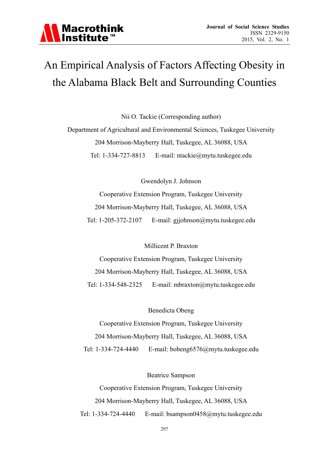# An Empirical Analysis of Factors Affecting Obesity in the Alabama Black Belt and Surrounding Counties

Nii O. Tackie (Corresponding author)

Department of Agricultural and Environmental Sciences, Tuskegee University 204 Morrison-Mayberry Hall, Tuskegee, AL 36088, USA Tel: 1-334-727-8813 E-mail: ntackie@mytu.tuskegee.edu

Gwendolyn J. Johnson

Cooperative Extension Program, Tuskegee University 204 Morrison-Mayberry Hall, Tuskegee, AL 36088, USA Tel: 1-205-372-2107 E-mail: gjjohnson@mytu.tuskegee.edu

Millicent P. Braxton

Cooperative Extension Program, Tuskegee University 204 Morrison-Mayberry Hall, Tuskegee, AL 36088, USA Tel: 1-334-548-2325 E-mail: mbraxton@mytu.tuskegee.edu

Benedicta Obeng

Cooperative Extension Program, Tuskegee University 204 Morrison-Mayberry Hall, Tuskegee, AL 36088, USA Tel: 1-334-724-4440 E-mail: bobeng6576@mytu.tuskegee.edu

Beatrice Sampson

Cooperative Extension Program, Tuskegee University 204 Morrison-Mayberry Hall, Tuskegee, AL 36088, USA Tel: 1-334-724-4440 E-mail: bsampson0458@mytu.tuskegee.edu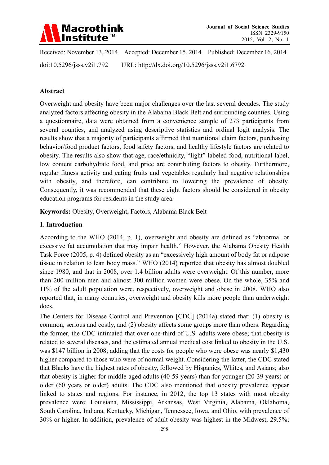

Received: November 13, 2014 Accepted: December 15, 2014 Published: December 16, 2014 doi:10.5296/jsss.v2i1.792 URL: http://dx.doi.org/10.5296/jsss.v2i1.6792

### **Abstract**

Overweight and obesity have been major challenges over the last several decades. The study analyzed factors affecting obesity in the Alabama Black Belt and surrounding counties. Using a questionnaire, data were obtained from a convenience sample of 273 participants from several counties, and analyzed using descriptive statistics and ordinal logit analysis. The results show that a majority of participants affirmed that nutritional claim factors, purchasing behavior/food product factors, food safety factors, and healthy lifestyle factors are related to obesity. The results also show that age, race/ethnicity, "light" labeled food, nutritional label, low content carbohydrate food, and price are contributing factors to obesity. Furthermore, regular fitness activity and eating fruits and vegetables regularly had negative relationships with obesity, and therefore, can contribute to lowering the prevalence of obesity. Consequently, it was recommended that these eight factors should be considered in obesity education programs for residents in the study area.

**Keywords:** Obesity, Overweight, Factors, Alabama Black Belt

### **1. Introduction**

According to the WHO (2014, p. 1), overweight and obesity are defined as "abnormal or excessive fat accumulation that may impair health." However, the Alabama Obesity Health Task Force (2005, p. 4) defined obesity as an "excessively high amount of body fat or adipose tissue in relation to lean body mass." WHO (2014) reported that obesity has almost doubled since 1980, and that in 2008, over 1.4 billion adults were overweight. Of this number, more than 200 million men and almost 300 million women were obese. On the whole, 35% and 11% of the adult population were, respectively, overweight and obese in 2008. WHO also reported that, in many countries, overweight and obesity kills more people than underweight does.

The Centers for Disease Control and Prevention [CDC] (2014a) stated that: (1) obesity is common, serious and costly, and (2) obesity affects some groups more than others. Regarding the former, the CDC intimated that over one-third of U.S. adults were obese; that obesity is related to several diseases, and the estimated annual medical cost linked to obesity in the U.S. was \$147 billion in 2008; adding that the costs for people who were obese was nearly \$1,430 higher compared to those who were of normal weight. Considering the latter, the CDC stated that Blacks have the highest rates of obesity, followed by Hispanics, Whites, and Asians; also that obesity is higher for middle-aged adults (40-59 years) than for younger (20-39 years) or older (60 years or older) adults. The CDC also mentioned that obesity prevalence appear linked to states and regions. For instance, in 2012, the top 13 states with most obesity prevalence were: Louisiana, Mississippi, Arkansas, West Virginia, Alabama, Oklahoma, South Carolina, Indiana, Kentucky, Michigan, Tennessee, Iowa, and Ohio, with prevalence of 30% or higher. In addition, prevalence of adult obesity was highest in the Midwest, 29.5%;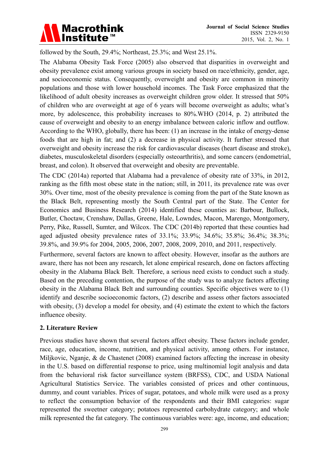

followed by the South, 29.4%; Northeast, 25.3%; and West 25.1%.

The Alabama Obesity Task Force (2005) also observed that disparities in overweight and obesity prevalence exist among various groups in society based on race/ethnicity, gender, age, and socioeconomic status. Consequently, overweight and obesity are common in minority populations and those with lower household incomes. The Task Force emphasized that the likelihood of adult obesity increases as overweight children grow older. It stressed that 50% of children who are overweight at age of 6 years will become overweight as adults; what's more, by adolescence, this probability increases to 80%.WHO (2014, p. 2) attributed the cause of overweight and obesity to an energy imbalance between caloric inflow and outflow. According to the WHO, globally, there has been: (1) an increase in the intake of energy-dense foods that are high in fat; and (2) a decrease in physical activity. It further stressed that overweight and obesity increase the risk for cardiovascular diseases (heart disease and stroke), diabetes, musculoskeletal disorders (especially osteoarthritis), and some cancers (endometrial, breast, and colon). It observed that overweight and obesity are preventable.

The CDC (2014a) reported that Alabama had a prevalence of obesity rate of 33%, in 2012, ranking as the fifth most obese state in the nation; still, in 2011, its prevalence rate was over 30%. Over time, most of the obesity prevalence is coming from the part of the State known as the Black Belt, representing mostly the South Central part of the State. The Center for Economics and Business Research (2014) identified these counties as: Barbour, Bullock, Butler, Choctaw, Crenshaw, Dallas, Greene, Hale, Lowndes, Macon, Marengo, Montgomery, Perry, Pike, Russell, Sumter, and Wilcox. The CDC (2014b) reported that these counties had aged adjusted obesity prevalence rates of 33.1%; 33.9%; 34.6%; 35.8%; 36.4%; 38.3%; 39.8%, and 39.9% for 2004, 2005, 2006, 2007, 2008, 2009, 2010, and 2011, respectively.

Furthermore, several factors are known to affect obesity. However, insofar as the authors are aware, there has not been any research, let alone empirical research, done on factors affecting obesity in the Alabama Black Belt. Therefore, a serious need exists to conduct such a study. Based on the preceding contention, the purpose of the study was to analyze factors affecting obesity in the Alabama Black Belt and surrounding counties. Specific objectives were to (1) identify and describe socioeconomic factors, (2) describe and assess other factors associated with obesity, (3) develop a model for obesity, and (4) estimate the extent to which the factors influence obesity.

### **2. Literature Review**

Previous studies have shown that several factors affect obesity. These factors include gender, race, age, education, income, nutrition, and physical activity, among others. For instance, Miljkovic, Nganje, & de Chastenet (2008) examined factors affecting the increase in obesity in the U.S. based on differential response to price, using multinomial logit analysis and data from the behavioral risk factor surveillance system (BRFSS), CDC, and USDA National Agricultural Statistics Service. The variables consisted of prices and other continuous, dummy, and count variables. Prices of sugar, potatoes, and whole milk were used as a proxy to reflect the consumption behavior of the respondents and their BMI categories: sugar represented the sweetner category; potatoes represented carbohydrate category; and whole milk represented the fat category. The continuous variables were: age, income, and education;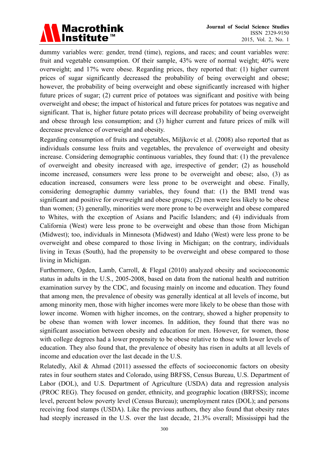

dummy variables were: gender, trend (time), regions, and races; and count variables were: fruit and vegetable consumption. Of their sample, 43% were of normal weight; 40% were overweight; and 17% were obese. Regarding prices, they reported that: (1) higher current prices of sugar significantly decreased the probability of being overweight and obese; however, the probability of being overweight and obese significantly increased with higher future prices of sugar; (2) current price of potatoes was significant and positive with being overweight and obese; the impact of historical and future prices for potatoes was negative and significant. That is, higher future potato prices will decrease probability of being overweight and obese through less consumption; and (3) higher current and future prices of milk will decrease prevalence of overweight and obesity.

Regarding consumption of fruits and vegetables, Miljkovic et al. (2008) also reported that as individuals consume less fruits and vegetables, the prevalence of overweight and obesity increase. Considering demographic continuous variables, they found that: (1) the prevalence of overweight and obesity increased with age, irrespective of gender; (2) as household income increased, consumers were less prone to be overweight and obese; also, (3) as education increased, consumers were less prone to be overweight and obese. Finally, considering demographic dummy variables, they found that: (1) the BMI trend was significant and positive for overweight and obese groups; (2) men were less likely to be obese than women; (3) generally, minorities were more prone to be overweight and obese compared to Whites, with the exception of Asians and Pacific Islanders; and (4) individuals from California (West) were less prone to be overweight and obese than those from Michigan (Midwest); too, individuals in Minnesota (Midwest) and Idaho (West) were less prone to be overweight and obese compared to those living in Michigan; on the contrary, individuals living in Texas (South), had the propensity to be overweight and obese compared to those living in Michigan.

Furthermore, Ogden, Lamb, Carroll, & Flegal (2010) analyzed obesity and socioeconomic status in adults in the U.S., 2005-2008, based on data from the national health and nutrition examination survey by the CDC, and focusing mainly on income and education. They found that among men, the prevalence of obesity was generally identical at all levels of income, but among minority men, those with higher incomes were more likely to be obese than those with lower income. Women with higher incomes, on the contrary, showed a higher propensity to be obese than women with lower incomes. In addition, they found that there was no significant association between obesity and education for men. However, for women, those with college degrees had a lower propensity to be obese relative to those with lower levels of education. They also found that, the prevalence of obesity has risen in adults at all levels of income and education over the last decade in the U.S.

Relatedly, Akil & Ahmad (2011) assessed the effects of socioeconomic factors on obesity rates in four southern states and Colorado, using BRFSS, Census Bureau, U.S. Department of Labor (DOL), and U.S. Department of Agriculture (USDA) data and regression analysis (PROC REG). They focused on gender, ethnicity, and geographic location (BRFSS); income level, percent below poverty level (Census Bureau); unemployment rates (DOL); and persons receiving food stamps (USDA). Like the previous authors, they also found that obesity rates had steeply increased in the U.S. over the last decade, 21.3% overall; Mississippi had the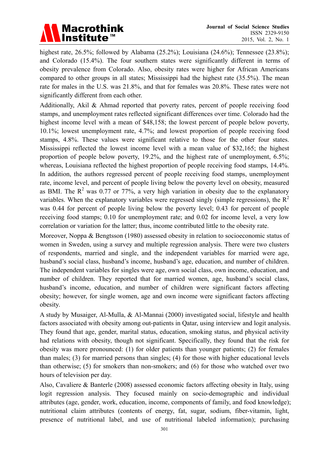

highest rate, 26.5%; followed by Alabama (25.2%); Louisiana (24.6%); Tennessee (23.8%); and Colorado (15.4%). The four southern states were significantly different in terms of obesity prevalence from Colorado. Also, obesity rates were higher for African Americans compared to other groups in all states; Mississippi had the highest rate (35.5%). The mean rate for males in the U.S. was 21.8%, and that for females was 20.8%. These rates were not significantly different from each other.

Additionally, Akil & Ahmad reported that poverty rates, percent of people receiving food stamps, and unemployment rates reflected significant differences over time. Colorado had the highest income level with a mean of \$48,158; the lowest percent of people below poverty, 10.1%; lowest unemployment rate, 4.7%; and lowest proportion of people receiving food stamps, 4.8%. These values were significant relative to those for the other four states. Mississippi reflected the lowest income level with a mean value of \$32,165; the highest proportion of people below poverty, 19.2%, and the highest rate of unemployment, 6.5%; whereas, Louisiana reflected the highest proportion of people receiving food stamps, 14.4%. In addition, the authors regressed percent of people receiving food stamps, unemployment rate, income level, and percent of people living below the poverty level on obesity, measured as BMI. The  $R^2$  was 0.77 or 77%, a very high variation in obesity due to the explanatory variables. When the explanatory variables were regressed singly (simple regressions), the  $R^2$ was 0.44 for percent of people living below the poverty level; 0.43 for percent of people receiving food stamps; 0.10 for unemployment rate; and 0.02 for income level, a very low correlation or variation for the latter; thus, income contributed little to the obesity rate.

Moreover, Noppa & Bengtsson (1980) assessed obesity in relation to socioeconomic status of women in Sweden, using a survey and multiple regression analysis. There were two clusters of respondents, married and single, and the independent variables for married were age, husband's social class, husband's income, husband's age, education, and number of children. The independent variables for singles were age, own social class, own income, education, and number of children. They reported that for married women, age, husband's social class, husband's income, education, and number of children were significant factors affecting obesity; however, for single women, age and own income were significant factors affecting obesity.

A study by Musaiger, Al-Mulla, & Al-Mannai (2000) investigated social, lifestyle and health factors associated with obesity among out-patients in Qatar, using interview and logit analysis. They found that age, gender, marital status, education, smoking status, and physical activity had relations with obesity, though not significant. Specifically, they found that the risk for obesity was more pronounced: (1) for older patients than younger patients; (2) for females than males; (3) for married persons than singles; (4) for those with higher educational levels than otherwise; (5) for smokers than non-smokers; and (6) for those who watched over two hours of television per day.

Also, Cavaliere & Banterle (2008) assessed economic factors affecting obesity in Italy, using logit regression analysis. They focused mainly on socio-demographic and individual attributes (age, gender, work, education, income, components of family, and food knowledge); nutritional claim attributes (contents of energy, fat, sugar, sodium, fiber-vitamin, light, presence of nutritional label, and use of nutritional labeled information); purchasing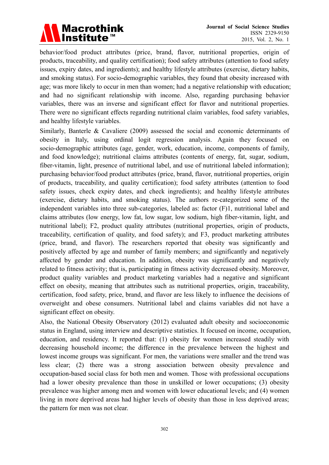

behavior/food product attributes (price, brand, flavor, nutritional properties, origin of products, traceability, and quality certification); food safety attributes (attention to food safety issues, expiry dates, and ingredients); and healthy lifestyle attributes (exercise, dietary habits, and smoking status). For socio-demographic variables, they found that obesity increased with age; was more likely to occur in men than women; had a negative relationship with education; and had no significant relationship with income. Also, regarding purchasing behavior variables, there was an inverse and significant effect for flavor and nutritional properties. There were no significant effects regarding nutritional claim variables, food safety variables, and healthy lifestyle variables.

Similarly, Banterle & Cavaliere (2009) assessed the social and economic determinants of obesity in Italy, using ordinal logit regression analysis. Again they focused on socio-demographic attributes (age, gender, work, education, income, components of family, and food knowledge); nutritional claims attributes (contents of energy, fat, sugar, sodium, fiber-vitamin, light, presence of nutritional label, and use of nutritional labeled information); purchasing behavior/food product attributes (price, brand, flavor, nutritional properties, origin of products, traceability, and quality certification); food safety attributes (attention to food safety issues, check expiry dates, and check ingredients); and healthy lifestyle attributes (exercise, dietary habits, and smoking status). The authors re-categorized some of the independent variables into three sub-categories, labeled as: factor (F)1, nutritional label and claims attributes (low energy, low fat, low sugar, low sodium, high fiber-vitamin, light, and nutritional label); F2, product quality attributes (nutritional properties, origin of products, traceability, certification of quality, and food safety); and F3, product marketing attributes (price, brand, and flavor). The researchers reported that obesity was significantly and positively affected by age and number of family members; and significantly and negatively affected by gender and education. In addition, obesity was significantly and negatively related to fitness activity; that is, participating in fitness activity decreased obesity. Moreover, product quality variables and product marketing variables had a negative and significant effect on obesity, meaning that attributes such as nutritional properties, origin, traceability, certification, food safety, price, brand, and flavor are less likely to influence the decisions of overweight and obese consumers. Nutritional label and claims variables did not have a significant effect on obesity.

Also, the National Obesity Observatory (2012) evaluated adult obesity and socioeconomic status in England, using interview and descriptive statistics. It focused on income, occupation, education, and residency. It reported that: (1) obesity for women increased steadily with decreasing household income; the difference in the prevalence between the highest and lowest income groups was significant. For men, the variations were smaller and the trend was less clear; (2) there was a strong association between obesity prevalence and occupation-based social class for both men and women. Those with professional occupations had a lower obesity prevalence than those in unskilled or lower occupations; (3) obesity prevalence was higher among men and women with lower educational levels; and (4) women living in more deprived areas had higher levels of obesity than those in less deprived areas; the pattern for men was not clear.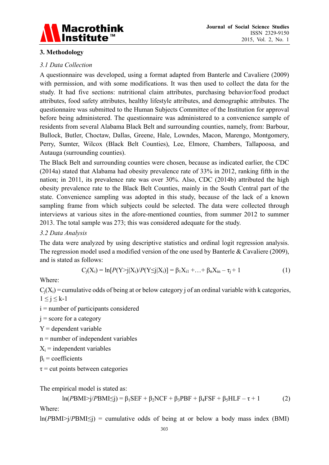

# **3. Methodology**

### *3.1 Data Collection*

A questionnaire was developed, using a format adapted from Banterle and Cavaliere (2009) with permission, and with some modifications. It was then used to collect the data for the study. It had five sections: nutritional claim attributes, purchasing behavior/food product attributes, food safety attributes, healthy lifestyle attributes, and demographic attributes. The questionnaire was submitted to the Human Subjects Committee of the Institution for approval before being administered. The questionnaire was administered to a convenience sample of residents from several Alabama Black Belt and surrounding counties, namely, from: Barbour, Bullock, Butler, Choctaw, Dallas, Greene, Hale, Lowndes, Macon, Marengo, Montgomery, Perry, Sumter, Wilcox (Black Belt Counties), Lee, Elmore, Chambers, Tallapoosa, and Autauga (surrounding counties).

The Black Belt and surrounding counties were chosen, because as indicated earlier, the CDC (2014a) stated that Alabama had obesity prevalence rate of 33% in 2012, ranking fifth in the nation; in 2011, its prevalence rate was over 30%. Also, CDC (2014b) attributed the high obesity prevalence rate to the Black Belt Counties, mainly in the South Central part of the state. Convenience sampling was adopted in this study, because of the lack of a known sampling frame from which subjects could be selected. The data were collected through interviews at various sites in the afore-mentioned counties, from summer 2012 to summer 2013. The total sample was 273; this was considered adequate for the study.

### *3.2 Data Analysis*

The data were analyzed by using descriptive statistics and ordinal logit regression analysis. The regression model used a modified version of the one used by Banterle & Cavaliere (2009), and is stated as follows:

$$
C_j(X_i) = \ln[P(Y>j|X_i)/P(Y \le j|X_i)] = \beta_1 X_{i1} + ... + \beta_n X_{in} - \tau_j + 1
$$
\n(1)

Where:

 $C_i(X_i)$  = cumulative odds of being at or below category j of an ordinal variable with k categories,  $1 \leq j \leq k-1$ 

i = number of participants considered

 $j =$  score for a category

 $Y =$  dependent variable

n = number of independent variables

 $X_i$  = independent variables

 $\beta_i$  = coefficients

 $\tau$  = cut points between categories

The empirical model is stated as:

$$
\ln(PBMI > j/PBMI \le j) = \beta_1 SEF + \beta_2 NCF + \beta_3 PBF + \beta_4 FSF + \beta_5 HLF - \tau + 1
$$
 (2)

Where:

 $ln(PBMI > i/PBMI \leq i)$  = cumulative odds of being at or below a body mass index (BMI)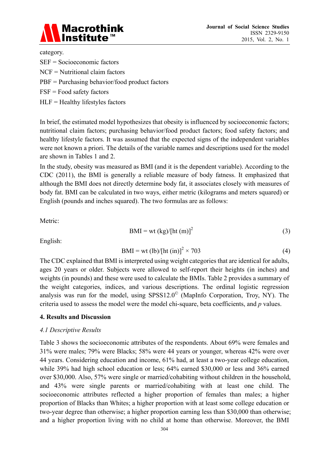

category.

- SEF = Socioeconomic factors
- NCF = Nutritional claim factors
- PBF = Purchasing behavior/food product factors
- FSF = Food safety factors
- $HLF =$  Healthy lifestyles factors

In brief, the estimated model hypothesizes that obesity is influenced by socioeconomic factors; nutritional claim factors; purchasing behavior/food product factors; food safety factors; and healthy lifestyle factors. It was assumed that the expected signs of the independent variables were not known a priori. The details of the variable names and descriptions used for the model are shown in Tables 1 and 2.

In the study, obesity was measured as BMI (and it is the dependent variable). According to the CDC (2011), the BMI is generally a reliable measure of body fatness. It emphasized that although the BMI does not directly determine body fat, it associates closely with measures of body fat. BMI can be calculated in two ways, either metric (kilograms and meters squared) or English (pounds and inches squared). The two formulas are as follows:

Metric:

$$
BMI = wt (kg)/[ht (m)]2
$$
 (3)

English:

$$
BMI = wt (lb)/[ht (in)]2 × 703
$$
 (4)

The CDC explained that BMI is interpreted using weight categories that are identical for adults, ages 20 years or older. Subjects were allowed to self-report their heights (in inches) and weights (in pounds) and these were used to calculate the BMIs. Table 2 provides a summary of the weight categories, indices, and various descriptions. The ordinal logistic regression analysis was run for the model, using  $SPSS12.0^\circ$  (MapInfo Corporation, Troy, NY). The criteria used to assess the model were the model chi-square, beta coefficients, and *p* values.

### **4. Results and Discussion**

### *4.1 Descriptive Results*

Table 3 shows the socioeconomic attributes of the respondents. About 69% were females and 31% were males; 79% were Blacks; 58% were 44 years or younger, whereas 42% were over 44 years. Considering education and income, 61% had, at least a two-year college education, while 39% had high school education or less; 64% earned \$30,000 or less and 36% earned over \$30,000. Also, 57% were single or married/cohabiting without children in the household, and 43% were single parents or married/cohabiting with at least one child. The socioeconomic attributes reflected a higher proportion of females than males; a higher proportion of Blacks than Whites; a higher proportion with at least some college education or two-year degree than otherwise; a higher proportion earning less than \$30,000 than otherwise; and a higher proportion living with no child at home than otherwise. Moreover, the BMI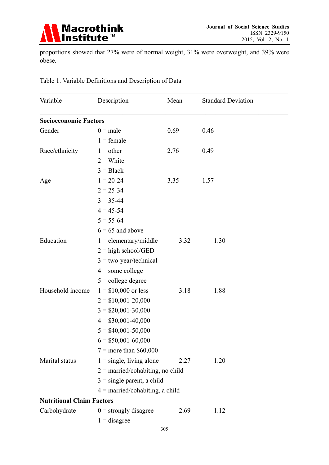

proportions showed that 27% were of normal weight, 31% were overweight, and 39% were obese.

| Variable                         | Description                        | Mean | <b>Standard Deviation</b> |
|----------------------------------|------------------------------------|------|---------------------------|
| <b>Socioeconomic Factors</b>     |                                    |      |                           |
| Gender                           | $0$ = male                         | 0.69 | 0.46                      |
|                                  | $1 = female$                       |      |                           |
| Race/ethnicity                   | $1 =$ other                        | 2.76 | 0.49                      |
|                                  | $2 =$ White                        |      |                           |
|                                  | $3 = Black$                        |      |                           |
| Age                              | $1 = 20 - 24$                      | 3.35 | 1.57                      |
|                                  | $2 = 25 - 34$                      |      |                           |
|                                  | $3 = 35 - 44$                      |      |                           |
|                                  | $4 = 45 - 54$                      |      |                           |
|                                  | $5 = 55 - 64$                      |      |                           |
|                                  | $6 = 65$ and above                 |      |                           |
| Education                        | $1 =$ elementary/middle            | 3.32 | 1.30                      |
|                                  | $2 =$ high school/GED              |      |                           |
|                                  | $3 = two-year/technical$           |      |                           |
|                                  | $4 =$ some college                 |      |                           |
|                                  | $5 =$ college degree               |      |                           |
| Household income                 | $1 = $10,000$ or less              | 3.18 | 1.88                      |
|                                  | $2 = $10,001 - 20,000$             |      |                           |
|                                  | $3 = $20,001 - 30,000$             |      |                           |
|                                  | $4 = $30,001 - 40,000$             |      |                           |
|                                  | $5 = $40,001 - 50,000$             |      |                           |
|                                  | $6 = $50,001 - 60,000$             |      |                           |
|                                  | $7 =$ more than \$60,000           |      |                           |
| Marital status                   | $1 =$ single, living alone         | 2.27 | 1.20                      |
|                                  | $2 =$ married/cohabiting, no child |      |                           |
|                                  | $3 =$ single parent, a child       |      |                           |
|                                  | $4 =$ married/cohabiting, a child  |      |                           |
| <b>Nutritional Claim Factors</b> |                                    |      |                           |
| Carbohydrate                     | $0 =$ strongly disagree            | 2.69 | 1.12                      |
|                                  | $1 =$ disagree                     |      |                           |
|                                  |                                    | 20c  |                           |

Table 1. Variable Definitions and Description of Data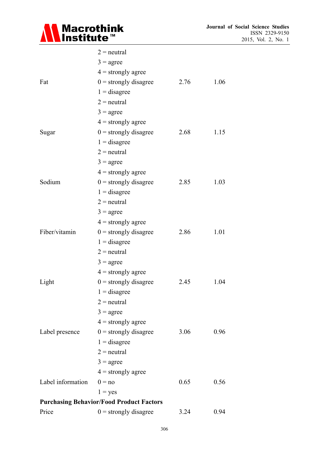

|                   | $2$ = neutral                                   |      |      |
|-------------------|-------------------------------------------------|------|------|
|                   | $3 = \text{agree}$                              |      |      |
|                   | $4 =$ strongly agree                            |      |      |
| Fat               | $0 =$ strongly disagree                         | 2.76 | 1.06 |
|                   | $1 =$ disagree                                  |      |      |
|                   | $2$ = neutral                                   |      |      |
|                   | $3 = \text{agree}$                              |      |      |
|                   | $4 =$ strongly agree                            |      |      |
| Sugar             | $0 =$ strongly disagree                         | 2.68 | 1.15 |
|                   | $1 =$ disagree                                  |      |      |
|                   | $2$ = neutral                                   |      |      |
|                   | $3 = \text{agree}$                              |      |      |
|                   | $4 =$ strongly agree                            |      |      |
| Sodium            | $0 =$ strongly disagree                         | 2.85 | 1.03 |
|                   | $1 =$ disagree                                  |      |      |
|                   | $2$ = neutral                                   |      |      |
|                   | $3 = \text{agree}$                              |      |      |
|                   | $4 =$ strongly agree                            |      |      |
| Fiber/vitamin     | $0 =$ strongly disagree                         | 2.86 | 1.01 |
|                   | $1 =$ disagree                                  |      |      |
|                   | $2$ = neutral                                   |      |      |
|                   | $3 = \text{agree}$                              |      |      |
|                   | $4 =$ strongly agree                            |      |      |
| Light             | $0 =$ strongly disagree                         | 2.45 | 1.04 |
|                   | $1 =$ disagree                                  |      |      |
|                   | $2$ = neutral                                   |      |      |
|                   | $3 = \text{agree}$                              |      |      |
|                   | $4 =$ strongly agree                            |      |      |
| Label presence    | $0 =$ strongly disagree                         | 3.06 | 0.96 |
|                   | $1 =$ disagree                                  |      |      |
|                   | $2$ = neutral                                   |      |      |
|                   | $3 = \text{agree}$                              |      |      |
|                   | $4 =$ strongly agree                            |      |      |
| Label information | $0 = no$                                        | 0.65 | 0.56 |
|                   | $1 = yes$                                       |      |      |
|                   | <b>Purchasing Behavior/Food Product Factors</b> |      |      |
| Price             | $0 =$ strongly disagree                         | 3.24 | 0.94 |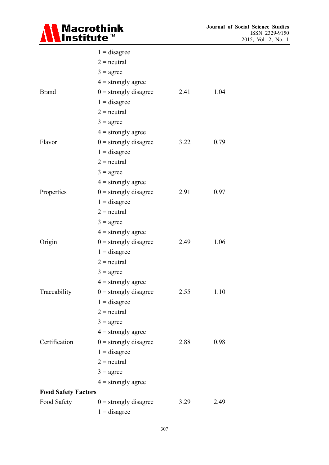

|                            | $1 =$ disagree          |      |      |
|----------------------------|-------------------------|------|------|
|                            | $2$ = neutral           |      |      |
|                            | $3 = \text{agree}$      |      |      |
|                            | $4 =$ strongly agree    |      |      |
| <b>Brand</b>               | $0 =$ strongly disagree | 2.41 | 1.04 |
|                            | $1 =$ disagree          |      |      |
|                            | $2$ = neutral           |      |      |
|                            | $3 = \text{agree}$      |      |      |
|                            | $4 =$ strongly agree    |      |      |
| Flavor                     | $0 =$ strongly disagree | 3.22 | 0.79 |
|                            | $1 =$ disagree          |      |      |
|                            | $2$ = neutral           |      |      |
|                            | $3 = \text{agree}$      |      |      |
|                            | $4 =$ strongly agree    |      |      |
| Properties                 | $0 =$ strongly disagree | 2.91 | 0.97 |
|                            | $1 =$ disagree          |      |      |
|                            | $2$ = neutral           |      |      |
|                            | $3 = \text{agree}$      |      |      |
|                            | $4 =$ strongly agree    |      |      |
| Origin                     | $0 =$ strongly disagree | 2.49 | 1.06 |
|                            | $1 =$ disagree          |      |      |
|                            | $2$ = neutral           |      |      |
|                            | $3 = \text{agree}$      |      |      |
|                            | $4 =$ strongly agree    |      |      |
| Traceability               | $0 =$ strongly disagree | 2.55 | 1.10 |
|                            | $1 =$ disagree          |      |      |
|                            | $2$ = neutral           |      |      |
|                            | $3 = \text{agree}$      |      |      |
|                            | $4 =$ strongly agree    |      |      |
| Certification              | $0 =$ strongly disagree | 2.88 | 0.98 |
|                            | $1 =$ disagree          |      |      |
|                            | $2$ = neutral           |      |      |
|                            | $3 = \text{agree}$      |      |      |
|                            | $4 =$ strongly agree    |      |      |
| <b>Food Safety Factors</b> |                         |      |      |
| Food Safety                | $0 =$ strongly disagree | 3.29 | 2.49 |
|                            | $1 =$ disagree          |      |      |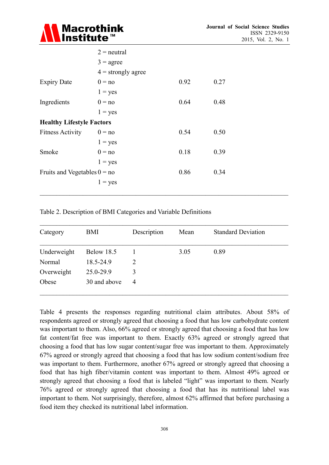

|                                  | $2$ = neutral        |      |      |  |
|----------------------------------|----------------------|------|------|--|
|                                  | $3 = \text{agree}$   |      |      |  |
|                                  | $4 =$ strongly agree |      |      |  |
| <b>Expiry Date</b>               | $0 = no$             | 0.92 | 0.27 |  |
|                                  | $1 = yes$            |      |      |  |
| Ingredients                      | $0 = no$             | 0.64 | 0.48 |  |
|                                  | $1 = yes$            |      |      |  |
| <b>Healthy Lifestyle Factors</b> |                      |      |      |  |
| <b>Fitness Activity</b>          | $0 = no$             | 0.54 | 0.50 |  |
|                                  | $1 = yes$            |      |      |  |
| Smoke                            | $0 = no$             | 0.18 | 0.39 |  |
|                                  | $1 = yes$            |      |      |  |
| Fruits and Vegetables $0 = no$   |                      | 0.86 | 0.34 |  |
|                                  | $1 = yes$            |      |      |  |
|                                  |                      |      |      |  |

Table 2. Description of BMI Categories and Variable Definitions

| Category    | BMI          | Description    | Mean | <b>Standard Deviation</b> |
|-------------|--------------|----------------|------|---------------------------|
| Underweight | Below 18.5   |                | 3.05 | 0.89                      |
| Normal      | 18.5-24.9    | $\overline{2}$ |      |                           |
| Overweight  | 25.0-29.9    | 3              |      |                           |
| Obese       | 30 and above | 4              |      |                           |

Table 4 presents the responses regarding nutritional claim attributes. About 58% of respondents agreed or strongly agreed that choosing a food that has low carbohydrate content was important to them. Also, 66% agreed or strongly agreed that choosing a food that has low fat content/fat free was important to them. Exactly 63% agreed or strongly agreed that choosing a food that has low sugar content/sugar free was important to them. Approximately 67% agreed or strongly agreed that choosing a food that has low sodium content/sodium free was important to them. Furthermore, another 67% agreed or strongly agreed that choosing a food that has high fiber/vitamin content was important to them. Almost 49% agreed or strongly agreed that choosing a food that is labeled "light" was important to them. Nearly 76% agreed or strongly agreed that choosing a food that has its nutritional label was important to them. Not surprisingly, therefore, almost 62% affirmed that before purchasing a food item they checked its nutritional label information.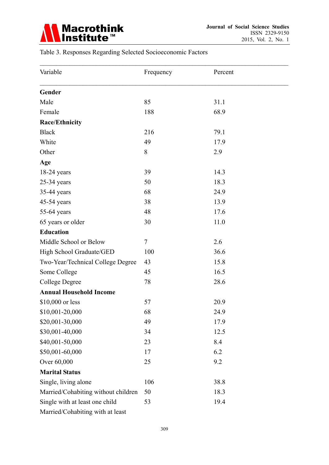

# Table 3. Responses Regarding Selected Socioeconomic Factors

| Variable                            | Frequency | Percent |
|-------------------------------------|-----------|---------|
| Gender                              |           |         |
| Male                                | 85        | 31.1    |
| Female                              | 188       | 68.9    |
| Race/Ethnicity                      |           |         |
| <b>Black</b>                        | 216       | 79.1    |
| White                               | 49        | 17.9    |
| Other                               | 8         | 2.9     |
| Age                                 |           |         |
| $18-24$ years                       | 39        | 14.3    |
| $25-34$ years                       | 50        | 18.3    |
| 35-44 years                         | 68        | 24.9    |
| 45-54 years                         | 38        | 13.9    |
| 55-64 years                         | 48        | 17.6    |
| 65 years or older                   | 30        | 11.0    |
| <b>Education</b>                    |           |         |
| Middle School or Below              | 7         | 2.6     |
| High School Graduate/GED            | 100       | 36.6    |
| Two-Year/Technical College Degree   | 43        | 15.8    |
| Some College                        | 45        | 16.5    |
| <b>College Degree</b>               | 78        | 28.6    |
| <b>Annual Household Income</b>      |           |         |
| \$10,000 or less                    | 57        | 20.9    |
| \$10,001-20,000                     | 68        | 24.9    |
| \$20,001-30,000                     | 49        | 17.9    |
| \$30,001-40,000                     | 34        | 12.5    |
| \$40,001-50,000                     | 23        | 8.4     |
| \$50,001-60,000                     | 17        | 6.2     |
| Over 60,000                         | 25        | 9.2     |
| <b>Marital Status</b>               |           |         |
| Single, living alone                | 106       | 38.8    |
| Married/Cohabiting without children | 50        | 18.3    |
| Single with at least one child      | 53        | 19.4    |
| Married/Cohabiting with at least    |           |         |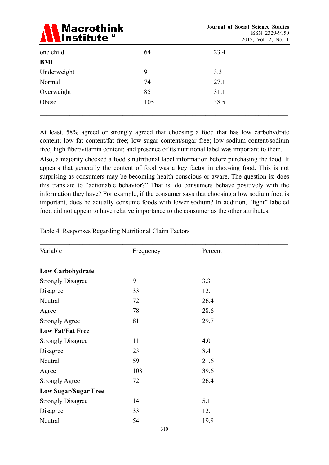

|             |     |      | $\overline{\phantom{a}}$<br>$\overline{\phantom{a}}$ |
|-------------|-----|------|------------------------------------------------------|
| one child   | 64  | 23.4 |                                                      |
| <b>BMI</b>  |     |      |                                                      |
| Underweight | 9   | 3.3  |                                                      |
| Normal      | 74  | 27.1 |                                                      |
| Overweight  | 85  | 31.1 |                                                      |
| Obese       | 105 | 38.5 |                                                      |
|             |     |      |                                                      |

At least, 58% agreed or strongly agreed that choosing a food that has low carbohydrate content; low fat content/fat free; low sugar content/sugar free; low sodium content/sodium free; high fiber/vitamin content; and presence of its nutritional label was important to them.

Also, a majority checked a food's nutritional label information before purchasing the food. It appears that generally the content of food was a key factor in choosing food. This is not surprising as consumers may be becoming health conscious or aware. The question is: does this translate to "actionable behavior?" That is, do consumers behave positively with the information they have? For example, if the consumer says that choosing a low sodium food is important, does he actually consume foods with lower sodium? In addition, "light" labeled food did not appear to have relative importance to the consumer as the other attributes.

| Variable                    | Frequency | Percent |  |
|-----------------------------|-----------|---------|--|
| <b>Low Carbohydrate</b>     |           |         |  |
| <b>Strongly Disagree</b>    | 9         | 3.3     |  |
| Disagree                    | 33        | 12.1    |  |
| Neutral                     | 72        | 26.4    |  |
| Agree                       | 78        | 28.6    |  |
| <b>Strongly Agree</b>       | 81        | 29.7    |  |
| <b>Low Fat/Fat Free</b>     |           |         |  |
| <b>Strongly Disagree</b>    | 11        | 4.0     |  |
| Disagree                    | 23        | 8.4     |  |
| Neutral                     | 59        | 21.6    |  |
| Agree                       | 108       | 39.6    |  |
| <b>Strongly Agree</b>       | 72        | 26.4    |  |
| <b>Low Sugar/Sugar Free</b> |           |         |  |
| <b>Strongly Disagree</b>    | 14        | 5.1     |  |
| Disagree                    | 33        | 12.1    |  |
| Neutral                     | 54        | 19.8    |  |
|                             | 310       |         |  |

Table 4. Responses Regarding Nutritional Claim Factors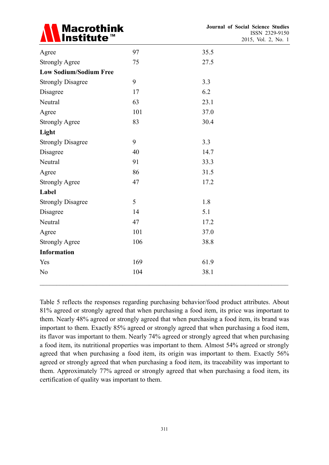

| Agree                         | 97  | 35.5 |  |
|-------------------------------|-----|------|--|
| <b>Strongly Agree</b>         | 75  | 27.5 |  |
| <b>Low Sodium/Sodium Free</b> |     |      |  |
| <b>Strongly Disagree</b>      | 9   | 3.3  |  |
| Disagree                      | 17  | 6.2  |  |
| Neutral                       | 63  | 23.1 |  |
| Agree                         | 101 | 37.0 |  |
| <b>Strongly Agree</b>         | 83  | 30.4 |  |
| Light                         |     |      |  |
| <b>Strongly Disagree</b>      | 9   | 3.3  |  |
| Disagree                      | 40  | 14.7 |  |
| Neutral                       | 91  | 33.3 |  |
| Agree                         | 86  | 31.5 |  |
| <b>Strongly Agree</b>         | 47  | 17.2 |  |
| Label                         |     |      |  |
| <b>Strongly Disagree</b>      | 5   | 1.8  |  |
| Disagree                      | 14  | 5.1  |  |
| Neutral                       | 47  | 17.2 |  |
| Agree                         | 101 | 37.0 |  |
| <b>Strongly Agree</b>         | 106 | 38.8 |  |
| <b>Information</b>            |     |      |  |
| Yes                           | 169 | 61.9 |  |
| N <sub>o</sub>                | 104 | 38.1 |  |
|                               |     |      |  |

Table 5 reflects the responses regarding purchasing behavior/food product attributes. About 81% agreed or strongly agreed that when purchasing a food item, its price was important to them. Nearly 48% agreed or strongly agreed that when purchasing a food item, its brand was important to them. Exactly 85% agreed or strongly agreed that when purchasing a food item, its flavor was important to them. Nearly 74% agreed or strongly agreed that when purchasing a food item, its nutritional properties was important to them. Almost 54% agreed or strongly agreed that when purchasing a food item, its origin was important to them. Exactly 56% agreed or strongly agreed that when purchasing a food item, its traceability was important to them. Approximately 77% agreed or strongly agreed that when purchasing a food item, its certification of quality was important to them.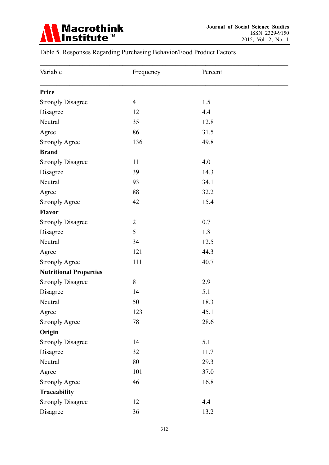

# Table 5. Responses Regarding Purchasing Behavior/Food Product Factors

| Variable                      | Frequency      | Percent |  |
|-------------------------------|----------------|---------|--|
| Price                         |                |         |  |
| <b>Strongly Disagree</b>      | $\overline{4}$ | 1.5     |  |
| Disagree                      | 12             | 4.4     |  |
| Neutral                       | 35             | 12.8    |  |
| Agree                         | 86             | 31.5    |  |
| <b>Strongly Agree</b>         | 136            | 49.8    |  |
| <b>Brand</b>                  |                |         |  |
| <b>Strongly Disagree</b>      | 11             | 4.0     |  |
| Disagree                      | 39             | 14.3    |  |
| Neutral                       | 93             | 34.1    |  |
| Agree                         | 88             | 32.2    |  |
| <b>Strongly Agree</b>         | 42             | 15.4    |  |
| <b>Flavor</b>                 |                |         |  |
| <b>Strongly Disagree</b>      | $\overline{2}$ | 0.7     |  |
| Disagree                      | 5              | 1.8     |  |
| Neutral                       | 34             | 12.5    |  |
| Agree                         | 121            | 44.3    |  |
| <b>Strongly Agree</b>         | 111            | 40.7    |  |
| <b>Nutritional Properties</b> |                |         |  |
| <b>Strongly Disagree</b>      | 8              | 2.9     |  |
| Disagree                      | 14             | 5.1     |  |
| Neutral                       | 50             | 18.3    |  |
| Agree                         | 123            | 45.1    |  |
| <b>Strongly Agree</b>         | 78             | 28.6    |  |
| Origin                        |                |         |  |
| <b>Strongly Disagree</b>      | 14             | 5.1     |  |
| Disagree                      | 32             | 11.7    |  |
| Neutral                       | 80             | 29.3    |  |
| Agree                         | 101            | 37.0    |  |
| <b>Strongly Agree</b>         | 46             | 16.8    |  |
| Traceability                  |                |         |  |
| <b>Strongly Disagree</b>      | 12             | 4.4     |  |
| Disagree                      | 36             | 13.2    |  |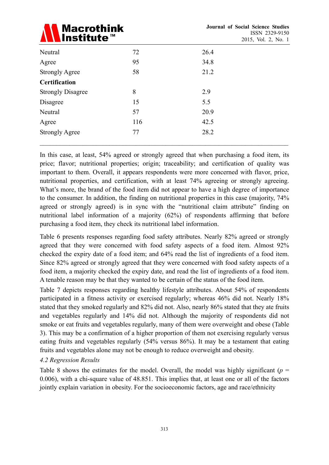

| Neutral                  | 72  | 26.4 |  |
|--------------------------|-----|------|--|
| Agree                    | 95  | 34.8 |  |
| <b>Strongly Agree</b>    | 58  | 21.2 |  |
| <b>Certification</b>     |     |      |  |
| <b>Strongly Disagree</b> | 8   | 2.9  |  |
| Disagree                 | 15  | 5.5  |  |
| Neutral                  | 57  | 20.9 |  |
| Agree                    | 116 | 42.5 |  |
| <b>Strongly Agree</b>    | 77  | 28.2 |  |
|                          |     |      |  |

In this case, at least, 54% agreed or strongly agreed that when purchasing a food item, its price; flavor; nutritional properties; origin; traceability; and certification of quality was important to them. Overall, it appears respondents were more concerned with flavor, price, nutritional properties, and certification, with at least 74% agreeing or strongly agreeing. What's more, the brand of the food item did not appear to have a high degree of importance to the consumer. In addition, the finding on nutritional properties in this case (majority, 74% agreed or strongly agreed) is in sync with the "nutritional claim attribute" finding on nutritional label information of a majority (62%) of respondents affirming that before purchasing a food item, they check its nutritional label information.

Table 6 presents responses regarding food safety attributes. Nearly 82% agreed or strongly agreed that they were concerned with food safety aspects of a food item. Almost 92% checked the expiry date of a food item; and 64% read the list of ingredients of a food item. Since 82% agreed or strongly agreed that they were concerned with food safety aspects of a food item, a majority checked the expiry date, and read the list of ingredients of a food item. A tenable reason may be that they wanted to be certain of the status of the food item.

Table 7 depicts responses regarding healthy lifestyle attributes. About 54% of respondents participated in a fitness activity or exercised regularly; whereas 46% did not. Nearly 18% stated that they smoked regularly and 82% did not. Also, nearly 86% stated that they ate fruits and vegetables regularly and 14% did not. Although the majority of respondents did not smoke or eat fruits and vegetables regularly, many of them were overweight and obese (Table 3). This may be a confirmation of a higher proportion of them not exercising regularly versus eating fruits and vegetables regularly (54% versus 86%). It may be a testament that eating fruits and vegetables alone may not be enough to reduce overweight and obesity.

### *4.2 Regression Results*

Table 8 shows the estimates for the model. Overall, the model was highly significant ( $p =$ 0.006), with a chi-square value of 48.851. This implies that, at least one or all of the factors jointly explain variation in obesity. For the socioeconomic factors, age and race/ethnicity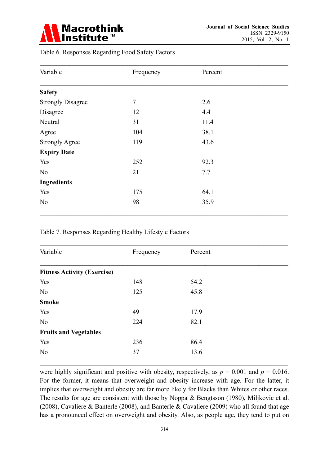

|  | Table 6. Responses Regarding Food Safety Factors |  |  |  |  |
|--|--------------------------------------------------|--|--|--|--|
|--|--------------------------------------------------|--|--|--|--|

| Variable                 | Frequency      | Percent |  |
|--------------------------|----------------|---------|--|
| <b>Safety</b>            |                |         |  |
| <b>Strongly Disagree</b> | $\overline{7}$ | 2.6     |  |
| Disagree                 | 12             | 4.4     |  |
| Neutral                  | 31             | 11.4    |  |
| Agree                    | 104            | 38.1    |  |
| <b>Strongly Agree</b>    | 119            | 43.6    |  |
| <b>Expiry Date</b>       |                |         |  |
| Yes                      | 252            | 92.3    |  |
| N <sub>o</sub>           | 21             | 7.7     |  |
| <b>Ingredients</b>       |                |         |  |
| Yes                      | 175            | 64.1    |  |
| N <sub>0</sub>           | 98             | 35.9    |  |

### Table 7. Responses Regarding Healthy Lifestyle Factors

| Variable                           | Frequency | Percent |  |
|------------------------------------|-----------|---------|--|
| <b>Fitness Activity (Exercise)</b> |           |         |  |
| Yes                                | 148       | 54.2    |  |
| N <sub>o</sub>                     | 125       | 45.8    |  |
| <b>Smoke</b>                       |           |         |  |
| Yes                                | 49        | 17.9    |  |
| N <sub>o</sub>                     | 224       | 82.1    |  |
| <b>Fruits and Vegetables</b>       |           |         |  |
| Yes                                | 236       | 86.4    |  |
| N <sub>o</sub>                     | 37        | 13.6    |  |

were highly significant and positive with obesity, respectively, as  $p = 0.001$  and  $p = 0.016$ . For the former, it means that overweight and obesity increase with age. For the latter, it implies that overweight and obesity are far more likely for Blacks than Whites or other races. The results for age are consistent with those by Noppa & Bengtsson (1980), Miljkovic et al. (2008), Cavaliere & Banterle (2008), and Banterle & Cavaliere (2009) who all found that age has a pronounced effect on overweight and obesity. Also, as people age, they tend to put on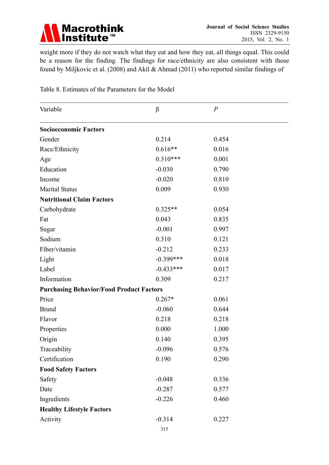

weight more if they do not watch what they eat and how they eat, all things equal. This could be a reason for the finding. The findings for race/ethnicity are also consistent with those found by Miljkovic et al. (2008) and Akil & Ahmad (2011) who reported similar findings of

| Variable                                        | $\beta$     | $\overline{P}$ |  |  |
|-------------------------------------------------|-------------|----------------|--|--|
| <b>Socioeconomic Factors</b>                    |             |                |  |  |
| Gender                                          | 0.214       | 0.454          |  |  |
| Race/Ethnicity                                  | $0.616**$   | 0.016          |  |  |
| Age                                             | $0.310***$  | 0.001          |  |  |
| Education                                       | $-0.030$    | 0.790          |  |  |
| Income                                          | $-0.020$    | 0.810          |  |  |
| <b>Marital Status</b>                           | 0.009       | 0.930          |  |  |
| <b>Nutritional Claim Factors</b>                |             |                |  |  |
| Carbohydrate                                    | $0.325**$   | 0.054          |  |  |
| Fat                                             | 0.043       | 0.835          |  |  |
| Sugar                                           | $-0.001$    | 0.997          |  |  |
| Sodium                                          | 0.310       | 0.121          |  |  |
| Fiber/vitamin                                   | $-0.212$    | 0.233          |  |  |
| Light                                           | $-0.399***$ | 0.018          |  |  |
| Label                                           | $-0.433***$ | 0.017          |  |  |
| Information                                     | 0.309       | 0.217          |  |  |
| <b>Purchasing Behavior/Food Product Factors</b> |             |                |  |  |
| Price                                           | $0.267*$    | 0.061          |  |  |
| <b>Brand</b>                                    | $-0.060$    | 0.644          |  |  |
| Flavor                                          | 0.218       | 0.218          |  |  |
| Properties                                      | 0.000       | 1.000          |  |  |
| Origin                                          | 0.140       | 0.395          |  |  |
| Traceability                                    | $-0.096$    | 0.576          |  |  |
| Certification                                   | 0.190       | 0.290          |  |  |
| <b>Food Safety Factors</b>                      |             |                |  |  |
| Safety                                          | $-0.048$    | 0.336          |  |  |
| Date                                            | $-0.287$    | 0.577          |  |  |
| Ingredients                                     | $-0.226$    | 0.460          |  |  |
| <b>Healthy Lifestyle Factors</b>                |             |                |  |  |
| Activity                                        | $-0.314$    | 0.227          |  |  |
|                                                 |             |                |  |  |

Table 8. Estimates of the Parameters for the Model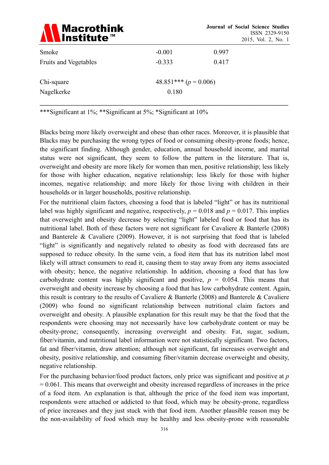| <b>Macrothink</b><br><b>\Institute™</b> |                         | <b>Journal of Social Science Studies</b><br>ISSN 2329-9150<br>2015, Vol. 2, No. 1 |  |
|-----------------------------------------|-------------------------|-----------------------------------------------------------------------------------|--|
| Smoke                                   | $-0.001$                | 0.997                                                                             |  |
| <b>Fruits and Vegetables</b>            | $-0.333$                | 0.417                                                                             |  |
| Chi-square                              | 48.851*** $(p = 0.006)$ |                                                                                   |  |
| Nagelkerke                              | 0.180                   |                                                                                   |  |
|                                         |                         |                                                                                   |  |

\*\*\*Significant at 1%; \*\*Significant at 5%; \*Significant at 10%

Blacks being more likely overweight and obese than other races. Moreover, it is plausible that Blacks may be purchasing the wrong types of food or consuming obesity-prone foods; hence, the significant finding. Although gender, education, annual household income, and marital status were not significant, they seem to follow the pattern in the literature. That is, overweight and obesity are more likely for women than men, positive relationship; less likely for those with higher education, negative relationship; less likely for those with higher incomes, negative relationship; and more likely for those living with children in their households or in larger households, positive relationship.

For the nutritional claim factors, choosing a food that is labeled "light" or has its nutritional label was highly significant and negative, respectively,  $p = 0.018$  and  $p = 0.017$ . This implies that overweight and obesity decrease by selecting "light" labeled food or food that has its nutritional label. Both of these factors were not significant for Cavaliere & Banterle (2008) and Banterele & Cavaliere (2009). However, it is not surprising that food that is labeled "light" is significantly and negatively related to obesity as food with decreased fats are supposed to reduce obesity. In the same vein, a food item that has its nutrition label most likely will attract consumers to read it, causing them to stay away from any items associated with obesity; hence, the negative relationship. In addition, choosing a food that has low carbohydrate content was highly significant and positive,  $p = 0.054$ . This means that overweight and obesity increase by choosing a food that has low carbohydrate content. Again, this result is contrary to the results of Cavaliere & Banterle (2008) and Banterele & Cavaliere (2009) who found no significant relationship between nutritional claim factors and overweight and obesity. A plausible explanation for this result may be that the food that the respondents were choosing may not necessarily have low carbohydrate content or may be obesity-prone; consequently, increasing overweight and obesity. Fat, sugar, sodium, fiber/vitamin, and nutritional label information were not statistically significant. Two factors, fat and fiber/vitamin, draw attention; although not significant, fat increases overweight and obesity, positive relationship, and consuming fiber/vitamin decrease overweight and obesity, negative relationship.

For the purchasing behavior/food product factors, only price was significant and positive at *p*  $= 0.061$ . This means that overweight and obesity increased regardless of increases in the price of a food item. An explanation is that, although the price of the food item was important, respondents were attached or addicted to that food, which may be obesity-prone, regardless of price increases and they just stuck with that food item. Another plausible reason may be the non-availability of food which may be healthy and less obesity-prone with reasonable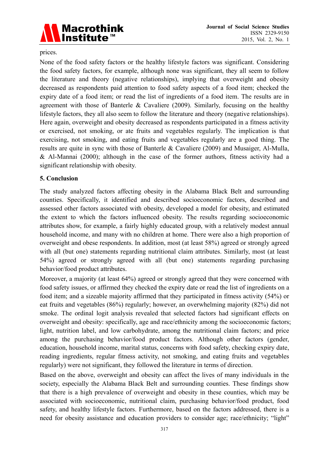

### prices.

None of the food safety factors or the healthy lifestyle factors was significant. Considering the food safety factors, for example, although none was significant, they all seem to follow the literature and theory (negative relationships), implying that overweight and obesity decreased as respondents paid attention to food safety aspects of a food item; checked the expiry date of a food item; or read the list of ingredients of a food item. The results are in agreement with those of Banterle & Cavaliere (2009). Similarly, focusing on the healthy lifestyle factors, they all also seem to follow the literature and theory (negative relationships). Here again, overweight and obesity decreased as respondents participated in a fitness activity or exercised, not smoking, or ate fruits and vegetables regularly. The implication is that exercising, not smoking, and eating fruits and vegetables regularly are a good thing. The results are quite in sync with those of Banterle & Cavaliere (2009) and Musaiger, Al-Mulla, & Al-Mannai (2000); although in the case of the former authors, fitness activity had a significant relationship with obesity.

### **5. Conclusion**

The study analyzed factors affecting obesity in the Alabama Black Belt and surrounding counties. Specifically, it identified and described socioeconomic factors, described and assessed other factors associated with obesity, developed a model for obesity, and estimated the extent to which the factors influenced obesity. The results regarding socioeconomic attributes show, for example, a fairly highly educated group, with a relatively modest annual household income, and many with no children at home. There were also a high proportion of overweight and obese respondents. In addition, most (at least 58%) agreed or strongly agreed with all (but one) statements regarding nutritional claim attributes. Similarly, most (at least 54%) agreed or strongly agreed with all (but one) statements regarding purchasing behavior/food product attributes.

Moreover, a majority (at least 64%) agreed or strongly agreed that they were concerned with food safety issues, or affirmed they checked the expiry date or read the list of ingredients on a food item; and a sizeable majority affirmed that they participated in fitness activity (54%) or eat fruits and vegetables (86%) regularly; however, an overwhelming majority (82%) did not smoke. The ordinal logit analysis revealed that selected factors had significant effects on overweight and obesity: specifically, age and race/ethnicity among the socioeconomic factors; light, nutrition label, and low carbohydrate, among the nutritional claim factors; and price among the purchasing behavior/food product factors. Although other factors (gender, education, household income, marital status, concerns with food safety, checking expiry date, reading ingredients, regular fitness activity, not smoking, and eating fruits and vegetables regularly) were not significant, they followed the literature in terms of direction.

Based on the above, overweight and obesity can affect the lives of many individuals in the society, especially the Alabama Black Belt and surrounding counties. These findings show that there is a high prevalence of overweight and obesity in these counties, which may be associated with socioeconomic, nutritional claim, purchasing behavior/food product, food safety, and healthy lifestyle factors. Furthermore, based on the factors addressed, there is a need for obesity assistance and education providers to consider age; race/ethnicity; "light"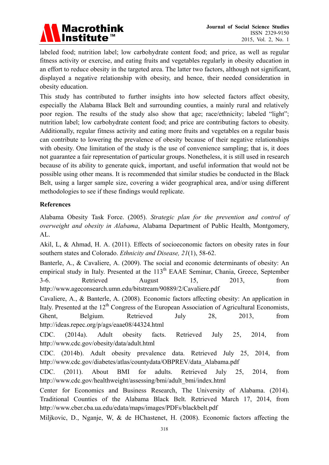

labeled food; nutrition label; low carbohydrate content food; and price, as well as regular fitness activity or exercise, and eating fruits and vegetables regularly in obesity education in an effort to reduce obesity in the targeted area. The latter two factors, although not significant, displayed a negative relationship with obesity, and hence, their needed consideration in obesity education.

This study has contributed to further insights into how selected factors affect obesity, especially the Alabama Black Belt and surrounding counties, a mainly rural and relatively poor region. The results of the study also show that age; race/ethnicity; labeled "light"; nutrition label; low carbohydrate content food; and price are contributing factors to obesity. Additionally, regular fitness activity and eating more fruits and vegetables on a regular basis can contribute to lowering the prevalence of obesity because of their negative relationships with obesity. One limitation of the study is the use of convenience sampling; that is, it does not guarantee a fair representation of particular groups. Nonetheless, it is still used in research because of its ability to generate quick, important, and useful information that would not be possible using other means. It is recommended that similar studies be conducted in the Black Belt, using a larger sample size, covering a wider geographical area, and/or using different methodologies to see if these findings would replicate.

### **References**

Alabama Obesity Task Force. (2005). *Strategic plan for the prevention and control of overweight and obesity in Alabama*, Alabama Department of Public Health, Montgomery, AL.

Akil, L, & Ahmad, H. A. (2011). Effects of socioeconomic factors on obesity rates in four southern states and Colorado. *Ethnicity and Disease, 21*(1), 58-62.

Banterle, A., & Cavaliere, A. (2009). The social and economic determinants of obesity: An empirical study in Italy. Presented at the 113<sup>th</sup> EAAE Seminar, Chania, Greece, September 3-6. Retrieved August 15, 2013, from http://www.ageconsearch.umn.edu/bitstream/90889/2/Cavaliere.pdf

Cavaliere, A., & Banterle, A. (2008). Economic factors affecting obesity: An application in Italy. Presented at the  $12<sup>th</sup>$  Congress of the European Association of Agricultural Economists, Ghent, Belgium. Retrieved July 28, 2013, from http://ideas.repec.org/p/ags/eaae08/44324.html

CDC. (2014a). Adult obesity facts. Retrieved July 25, 2014, from http://www.cdc.gov/obesity/data/adult.html

CDC. (2014b). Adult obesity prevalence data. Retrieved July 25, 2014, from http://www.cdc.gov/diabetes/atlas/countydata/OBPREV/data\_Alabama.pdf

CDC. (2011). About BMI for adults. Retrieved July 25, 2014, from http://www.cdc.gov/healthweight/assessing/bmi/adult\_bmi/index.html

Center for Economics and Business Research, The University of Alabama. (2014). Traditional Counties of the Alabama Black Belt. Retrieved March 17, 2014, from http://www.cber.cba.ua.edu/edata/maps/images/PDFs/blackbelt.pdf

Miljkovic, D., Nganje, W, & de HChastenet, H. (2008). Economic factors affecting the